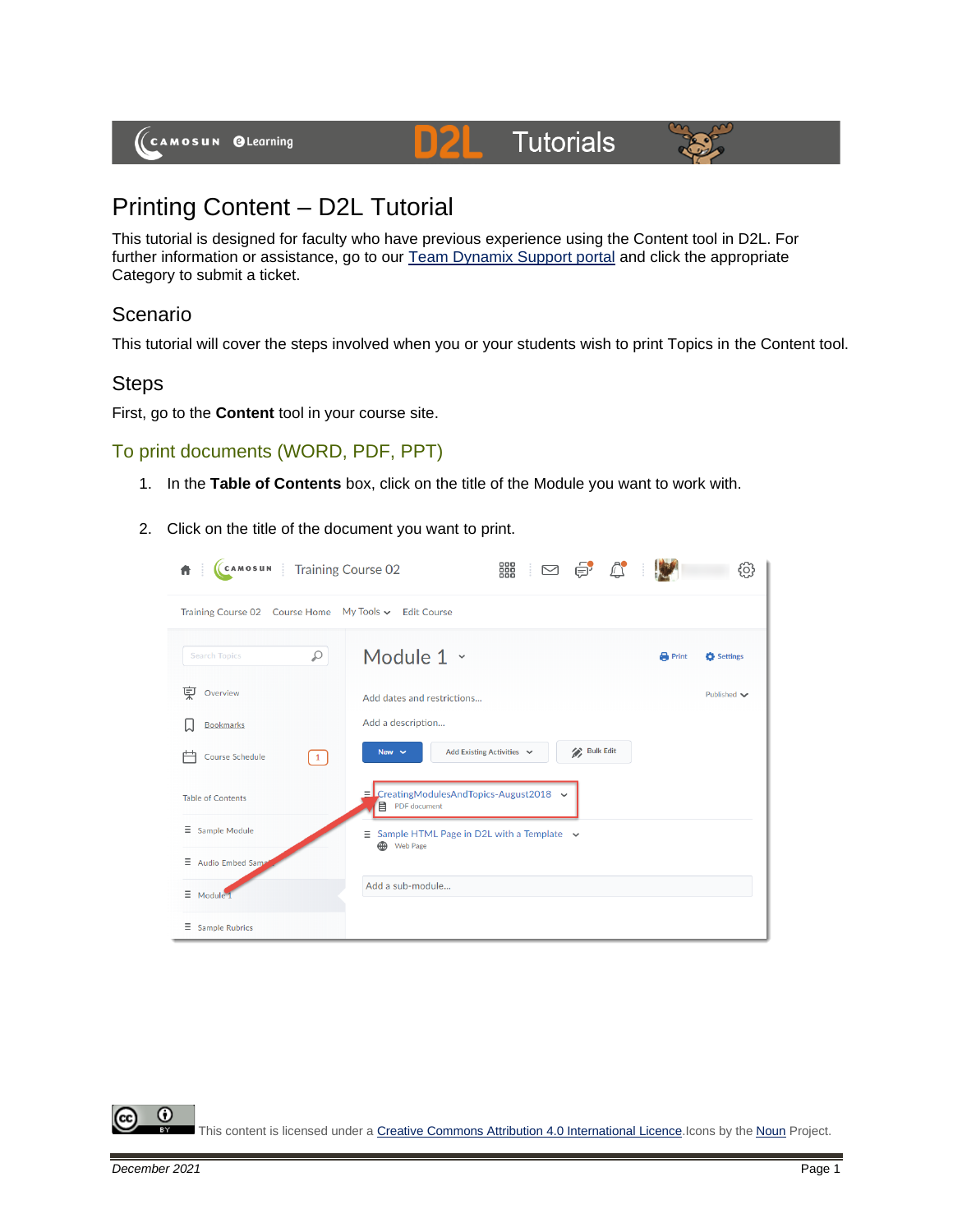# **Tutorials**



# Printing Content – D2L Tutorial

This tutorial is designed for faculty who have previous experience using the Content tool in D2L. For further information or assistance, go to our [Team Dynamix Support portal](https://camosun.teamdynamix.com/TDClient/67/Portal/Requests/ServiceCatalog?CategoryID=523) and click the appropriate Category to submit a ticket.

D)2

### Scenario

This tutorial will cover the steps involved when you or your students wish to print Topics in the Content tool.

#### **Steps**

First, go to the **Content** tool in your course site.

#### To print documents (WORD, PDF, PPT)

- 1. In the **Table of Contents** box, click on the title of the Module you want to work with.
- 2. Click on the title of the document you want to print.

| CAMOSUN Training Course 02                            | 888<br>888<br>$\begin{picture}(20,20) \put(0,0){\line(1,0){10}} \put(15,0){\line(1,0){10}} \put(15,0){\line(1,0){10}} \put(15,0){\line(1,0){10}} \put(15,0){\line(1,0){10}} \put(15,0){\line(1,0){10}} \put(15,0){\line(1,0){10}} \put(15,0){\line(1,0){10}} \put(15,0){\line(1,0){10}} \put(15,0){\line(1,0){10}} \put(15,0){\line(1,0){10}} \put(15,0){\line(1$ |              | Ō,                 |
|-------------------------------------------------------|-------------------------------------------------------------------------------------------------------------------------------------------------------------------------------------------------------------------------------------------------------------------------------------------------------------------------------------------------------------------|--------------|--------------------|
| Training Course 02 Course Home My Tools v Edit Course |                                                                                                                                                                                                                                                                                                                                                                   |              |                    |
| Q<br><b>Search Topics</b>                             | Module 1 ~                                                                                                                                                                                                                                                                                                                                                        | <b>Print</b> | Settings           |
| 莫<br>Overview                                         | Add dates and restrictions                                                                                                                                                                                                                                                                                                                                        |              | Published $\smile$ |
| <b>Bookmarks</b>                                      | Add a description                                                                                                                                                                                                                                                                                                                                                 |              |                    |
| <b>Course Schedule</b><br>$\mathbf{1}$                | <b>Bulk Edit</b><br>Add Existing Activities v<br>New $\overline{\smile}$                                                                                                                                                                                                                                                                                          |              |                    |
| <b>Table of Contents</b>                              | $\equiv$ CreatingModulesAndTopics-August2018 $\sim$<br>目<br>PDF document                                                                                                                                                                                                                                                                                          |              |                    |
| Ξ<br>Sample Module                                    | E.<br>Sample HTML Page in D2L with a Template $\sim$<br><b>B</b> Web Page                                                                                                                                                                                                                                                                                         |              |                    |
| Ξ<br>Audio Embed Sam                                  |                                                                                                                                                                                                                                                                                                                                                                   |              |                    |
| $\equiv$<br>Module 1                                  | Add a sub-module                                                                                                                                                                                                                                                                                                                                                  |              |                    |
| $\equiv$ Sample Rubrics                               |                                                                                                                                                                                                                                                                                                                                                                   |              |                    |

0 This content is licensed under [a Creative Commons Attribution 4.0 International Licence.I](https://creativecommons.org/licenses/by/4.0/)cons by the [Noun](https://creativecommons.org/website-icons/) Project.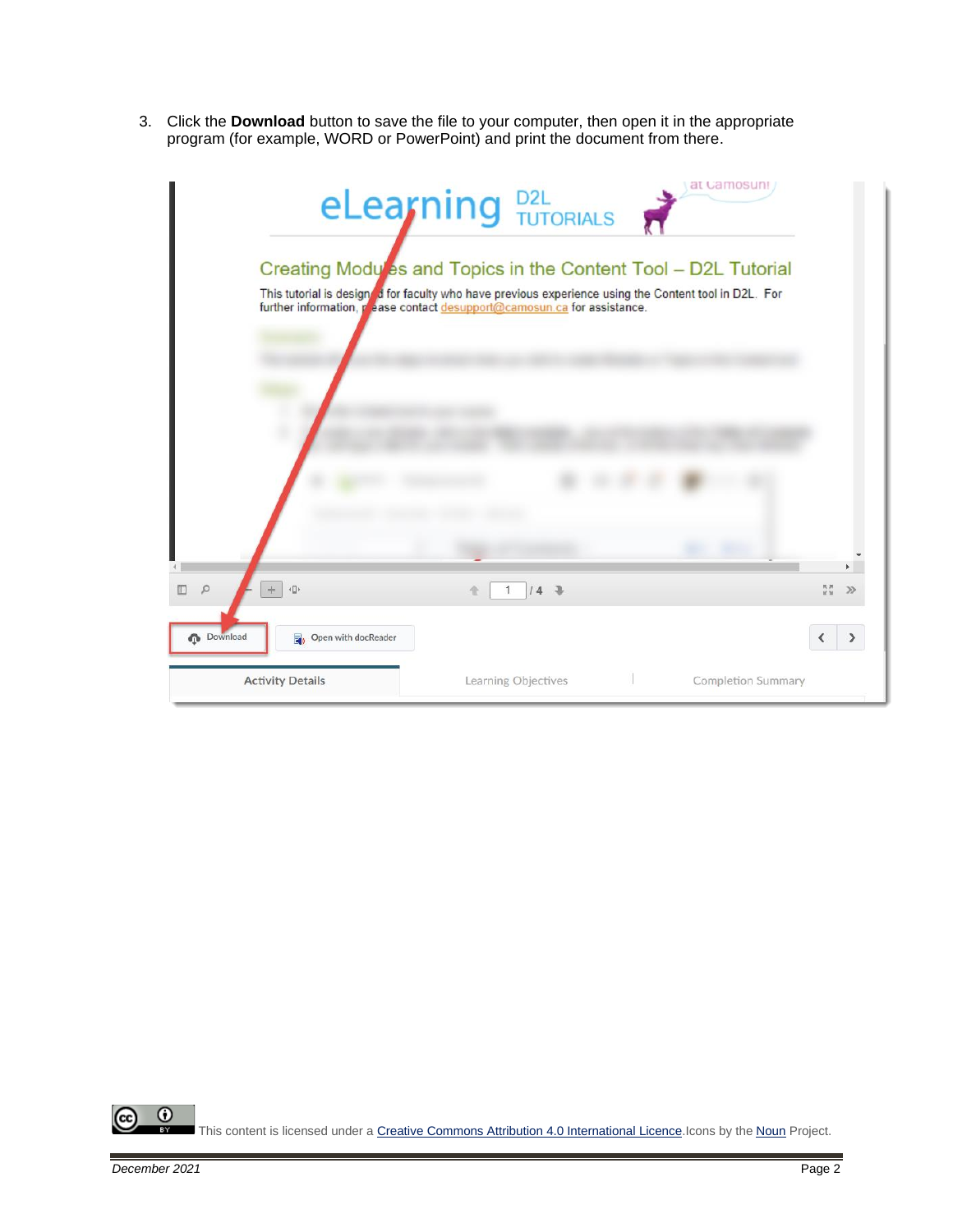3. Click the **Download** button to save the file to your computer, then open it in the appropriate program (for example, WORD or PowerPoint) and print the document from there.

|                                                                          | eLearning D2L                                                                                                                                                                                                                                      | at Camosuni               |   |
|--------------------------------------------------------------------------|----------------------------------------------------------------------------------------------------------------------------------------------------------------------------------------------------------------------------------------------------|---------------------------|---|
|                                                                          | Creating Mody es and Topics in the Content Tool - D2L Tutorial<br>This tutorial is designed for faculty who have previous experience using the Content tool in D2L. For<br>further information, pease contact desupport@camosun.ca for assistance. |                           |   |
|                                                                          |                                                                                                                                                                                                                                                    |                           |   |
|                                                                          |                                                                                                                                                                                                                                                    |                           |   |
| $\left\langle \left\langle \right\rangle \right\rangle$<br>$\Omega$<br>÷ | $14 - 3$                                                                                                                                                                                                                                           |                           | ≫ |
| <b>Download</b><br>Open with docReader                                   |                                                                                                                                                                                                                                                    |                           |   |
| <b>Activity Details</b>                                                  | Learning Objectives                                                                                                                                                                                                                                | <b>Completion Summary</b> |   |

 $\overline{0}$ (cc This content is licensed under [a Creative Commons Attribution 4.0 International Licence.I](https://creativecommons.org/licenses/by/4.0/)cons by the [Noun](https://creativecommons.org/website-icons/) Project.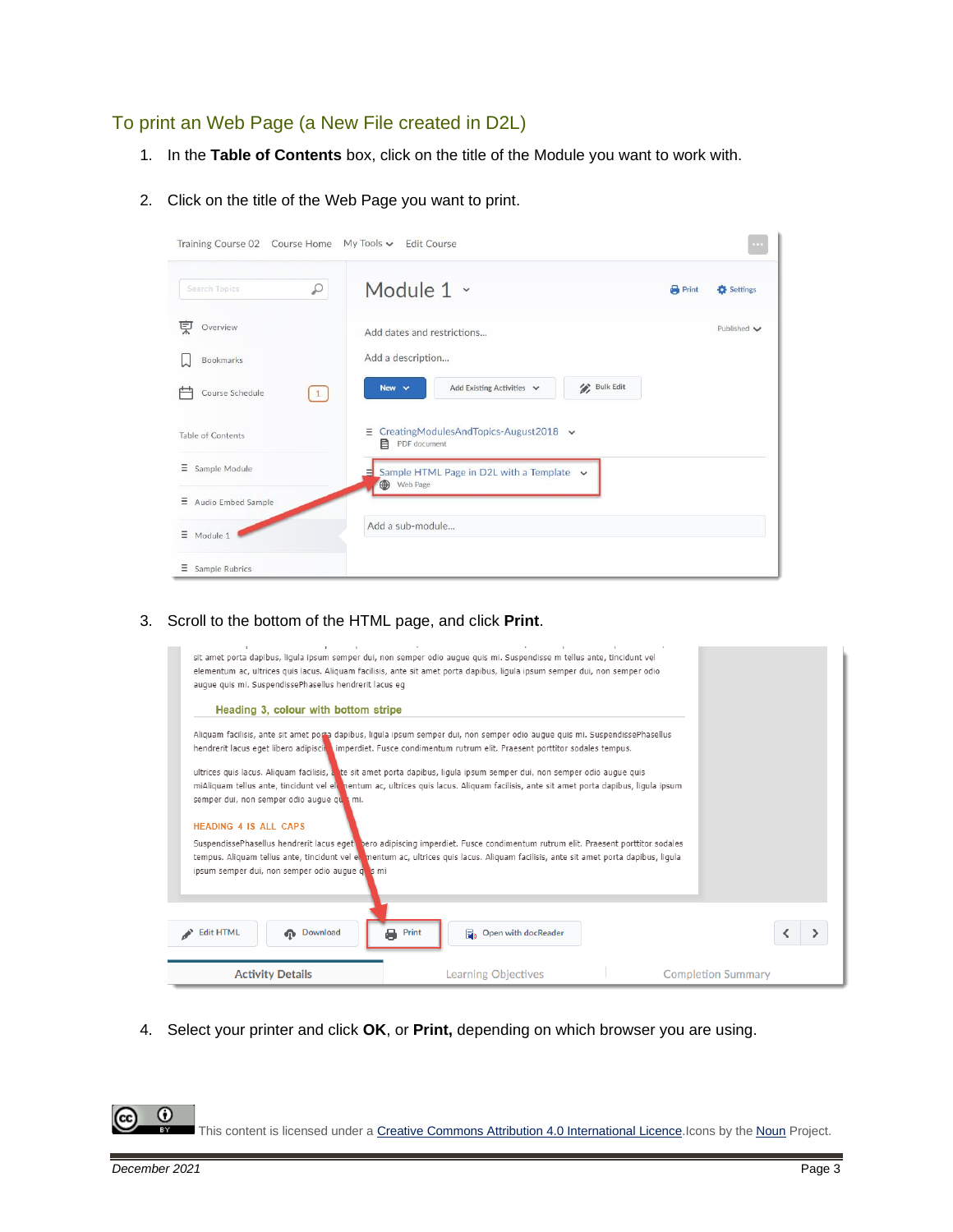# To print an Web Page (a New File created in D2L)

- 1. In the **Table of Contents** box, click on the title of the Module you want to work with.
- 2. Click on the title of the Web Page you want to print.

| Training Course 02 Course Home                       | $My$ Tools $\vee$ Edit Course                                        |              | $\sim$             |
|------------------------------------------------------|----------------------------------------------------------------------|--------------|--------------------|
| ₽<br>Search Topics                                   | Module 1 ~                                                           | <b>Print</b> | Settings           |
| 莫<br>Overview                                        | Add dates and restrictions                                           |              | Published $\smile$ |
| <b>Bookmarks</b>                                     | Add a description                                                    |              |                    |
| Course Schedule<br>$\begin{bmatrix} 1 \end{bmatrix}$ | <b>Bulk Edit</b><br>Add Existing Activities $\vee$<br>New $\vee$     |              |                    |
| Table of Contents                                    | CreatingModulesAndTopics-August2018 $\sim$<br>Ξ<br>目<br>PDF document |              |                    |
| Ξ<br>Sample Module                                   | $\equiv$ Sample HTML Page in D2L with a Template $\sim$<br>Web Page  |              |                    |
| Ξ<br>Audio Embed Sample                              |                                                                      |              |                    |
| Ξ<br>Module 1                                        | Add a sub-module                                                     |              |                    |
| Ξ<br>Sample Rubrics                                  |                                                                      |              |                    |

3. Scroll to the bottom of the HTML page, and click **Print**.

| auque quis mi. SuspendissePhasellus hendrerit lacus eq                          | sit amet porta dapibus, liqula ipsum semper dui, non semper odio auque quis mi. Suspendisse m tellus ante, tincidunt vel<br>elementum ac, ultrices quis lacus. Aliguam facilisis, ante sit amet porta dapibus, ligula ipsum semper dui, non semper odio                |                           |
|---------------------------------------------------------------------------------|------------------------------------------------------------------------------------------------------------------------------------------------------------------------------------------------------------------------------------------------------------------------|---------------------------|
| Heading 3, colour with bottom stripe                                            |                                                                                                                                                                                                                                                                        |                           |
|                                                                                 | Aliguam facilisis, ante sit amet porta dapibus, ligula ipsum semper dui, non semper odio augue quis mi. SuspendissePhasellus<br>hendrerit lacus eget libero adipiscin imperdiet. Fusce condimentum rutrum elit. Praesent porttitor sodales tempus.                     |                           |
| semper dui, non semper odio auque qualmi.                                       | ultrices quis lacus. Aliquam facilisis, a te sit amet porta dapibus, liqula ipsum semper dui, non semper odio auque quis<br>miAliquam tellus ante, tincidunt vel ele nentum ac, ultrices quis lacus. Aliquam facilisis, ante sit amet porta dapibus, liqula ipsum      |                           |
| <b>HEADING 4 IS ALL CAPS</b><br>ipsum semper dui, non semper odio augue quis mi | SuspendissePhasellus hendrerit lacus eget bero adipiscing imperdiet. Fusce condimentum rutrum elit. Praesent porttitor sodales<br>tempus. Aliquam tellus ante, tincidunt vel en mentum ac, ultrices quis lacus. Aliquam facilisis, ante sit amet porta dapibus, liqula |                           |
| <b>Edit HTML</b><br><b>n</b> Download                                           | a<br>Print<br>Open with docReader                                                                                                                                                                                                                                      |                           |
| <b>Activity Details</b>                                                         | Learning Objectives                                                                                                                                                                                                                                                    | <b>Completion Summary</b> |

4. Select your printer and click **OK**, or **Print,** depending on which browser you are using.

This content is licensed under [a Creative Commons Attribution 4.0 International Licence.I](https://creativecommons.org/licenses/by/4.0/)cons by the [Noun](https://creativecommons.org/website-icons/) Project.

 $\odot$